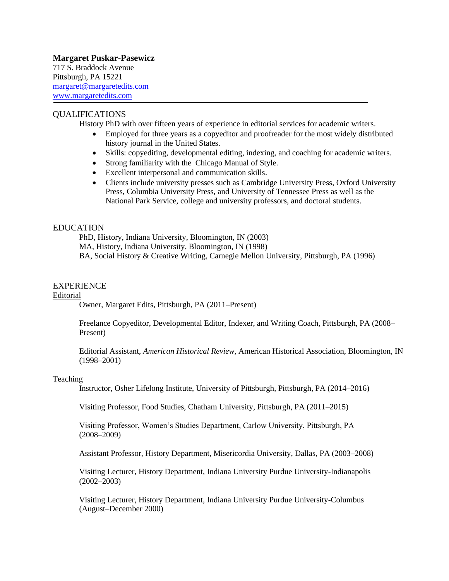# **Margaret Puskar-Pasewicz**

717 S. Braddock Avenue Pittsburgh, PA 15221 [margaret@margaretedits.com](mailto:margaret@margaretedits.com) www.margaretedits.com

## QUALIFICATIONS

History PhD with over fifteen years of experience in editorial services for academic writers.

- Employed for three years as a copyeditor and proofreader for the most widely distributed history journal in the United States.
- Skills: copyediting, developmental editing, indexing, and coaching for academic writers.
- Strong familiarity with the Chicago Manual of Style.
- Excellent interpersonal and communication skills.
- Clients include university presses such as Cambridge University Press, Oxford University Press, Columbia University Press, and University of Tennessee Press as well as the National Park Service, college and university professors, and doctoral students.

## EDUCATION

PhD, History, Indiana University, Bloomington, IN (2003) MA, History, Indiana University, Bloomington, IN (1998) BA, Social History & Creative Writing, Carnegie Mellon University, Pittsburgh, PA (1996)

### EXPERIENCE

### Editorial

Owner, Margaret Edits, Pittsburgh, PA (2011–Present)

Freelance Copyeditor, Developmental Editor, Indexer, and Writing Coach, Pittsburgh, PA (2008– Present)

Editorial Assistant, *American Historical Review*, American Historical Association, Bloomington, IN (1998–2001)

### Teaching

Instructor, Osher Lifelong Institute, University of Pittsburgh, Pittsburgh, PA (2014–2016)

Visiting Professor, Food Studies, Chatham University, Pittsburgh, PA (2011–2015)

Visiting Professor, Women's Studies Department, Carlow University, Pittsburgh, PA (2008–2009)

Assistant Professor, History Department, Misericordia University, Dallas, PA (2003–2008)

Visiting Lecturer, History Department, Indiana University Purdue University-Indianapolis (2002–2003)

Visiting Lecturer, History Department, Indiana University Purdue University-Columbus (August–December 2000)